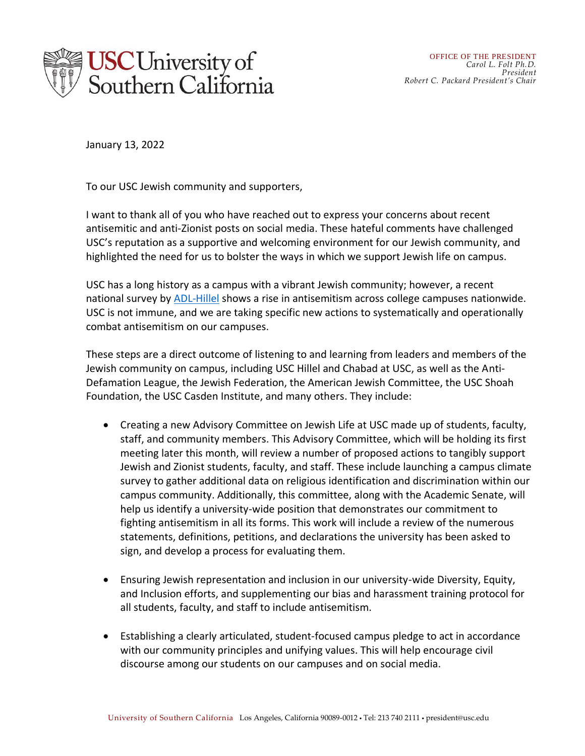

January 13, 2022

To our USC Jewish community and supporters,

I want to thank all of you who have reached out to express your concerns about recent antisemitic and anti-Zionist posts on social media. These hateful comments have challenged USC's reputation as a supportive and welcoming environment for our Jewish community, and highlighted the need for us to bolster the ways in which we support Jewish life on campus.

USC has a long history as a campus with a vibrant Jewish community; however, a recent national survey by [ADL-Hillel](https://hillel.org/docs/default-source/default-document-library/antisemitism-on-campus-survey-report_v6.pdf?sfvrsn=92c9011c_0) shows a rise in antisemitism across college campuses nationwide. USC is not immune, and we are taking specific new actions to systematically and operationally combat antisemitism on our campuses.

These steps are a direct outcome of listening to and learning from leaders and members of the Jewish community on campus, including USC Hillel and Chabad at USC, as well as the Anti-Defamation League, the Jewish Federation, the American Jewish Committee, the USC Shoah Foundation, the USC Casden Institute, and many others. They include:

- Creating a new Advisory Committee on Jewish Life at USC made up of students, faculty, staff, and community members. This Advisory Committee, which will be holding its first meeting later this month, will review a number of proposed actions to tangibly support Jewish and Zionist students, faculty, and staff. These include launching a campus climate survey to gather additional data on religious identification and discrimination within our campus community. Additionally, this committee, along with the Academic Senate, will help us identify a university-wide position that demonstrates our commitment to fighting antisemitism in all its forms. This work will include a review of the numerous statements, definitions, petitions, and declarations the university has been asked to sign, and develop a process for evaluating them.
- Ensuring Jewish representation and inclusion in our university-wide Diversity, Equity, and Inclusion efforts, and supplementing our bias and harassment training protocol for all students, faculty, and staff to include antisemitism.
- Establishing a clearly articulated, student-focused campus pledge to act in accordance with our community principles and unifying values. This will help encourage civil discourse among our students on our campuses and on social media.